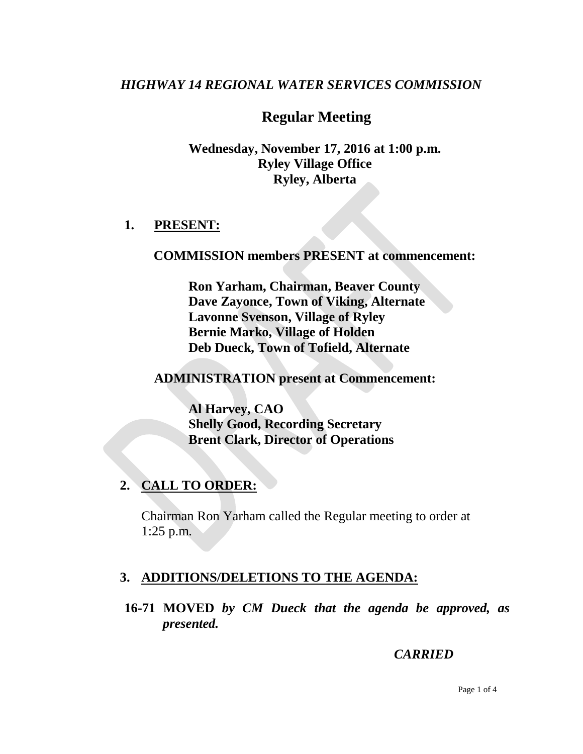## *HIGHWAY 14 REGIONAL WATER SERVICES COMMISSION*

# **Regular Meeting**

**Wednesday, November 17, 2016 at 1:00 p.m. Ryley Village Office Ryley, Alberta**

### **1. PRESENT:**

#### **COMMISSION members PRESENT at commencement:**

**Ron Yarham, Chairman, Beaver County Dave Zayonce, Town of Viking, Alternate Lavonne Svenson, Village of Ryley Bernie Marko, Village of Holden Deb Dueck, Town of Tofield, Alternate**

**ADMINISTRATION present at Commencement:**

**Al Harvey, CAO Shelly Good, Recording Secretary Brent Clark, Director of Operations**

## **2. CALL TO ORDER:**

Chairman Ron Yarham called the Regular meeting to order at 1:25 p.m.

## **3. ADDITIONS/DELETIONS TO THE AGENDA:**

**16-71 MOVED** *by CM Dueck that the agenda be approved, as presented.*

*CARRIED*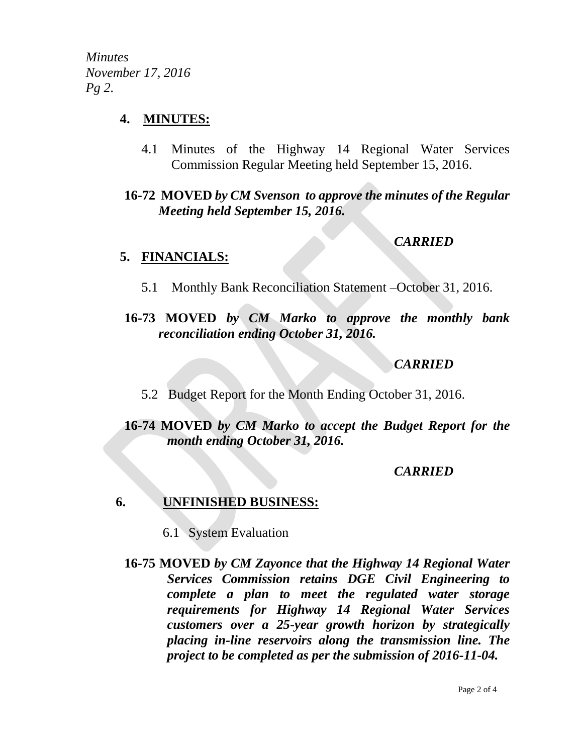*Minutes November 17, 2016 Pg 2.*

### **4. MINUTES:**

4.1 Minutes of the Highway 14 Regional Water Services Commission Regular Meeting held September 15, 2016.

**16-72 MOVED** *by CM Svenson to approve the minutes of the Regular Meeting held September 15, 2016.*

## *CARRIED*

### **5. FINANCIALS:**

5.1 Monthly Bank Reconciliation Statement –October 31, 2016.

## **16-73 MOVED** *by CM Marko to approve the monthly bank reconciliation ending October 31, 2016.*

## *CARRIED*

5.2 Budget Report for the Month Ending October 31, 2016.

# **16-74 MOVED** *by CM Marko to accept the Budget Report for the month ending October 31, 2016.*

## *CARRIED*

## **6. UNFINISHED BUSINESS:**

- 6.1 System Evaluation
- **16-75 MOVED** *by CM Zayonce that the Highway 14 Regional Water Services Commission retains DGE Civil Engineering to complete a plan to meet the regulated water storage requirements for Highway 14 Regional Water Services customers over a 25-year growth horizon by strategically placing in-line reservoirs along the transmission line. The project to be completed as per the submission of 2016-11-04.*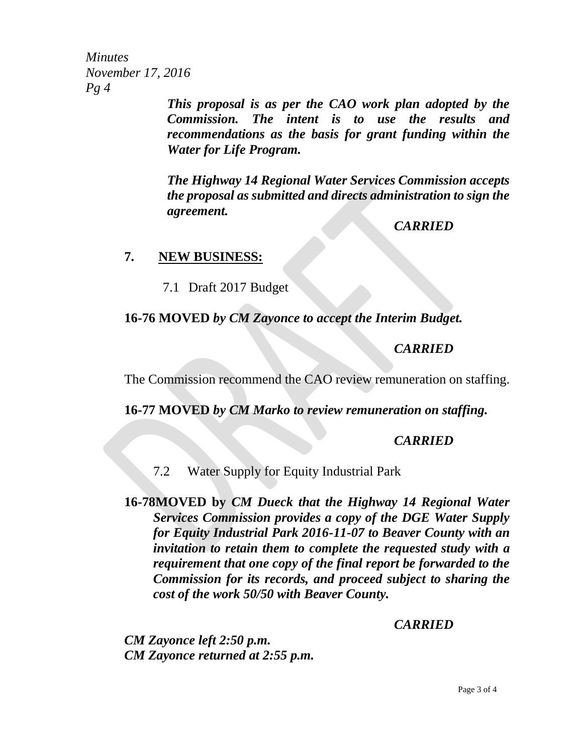*Minutes November 17, 2016 Pg 4*

*This proposal is as per the CAO work plan adopted by the Commission. The intent is to use the results and recommendations as the basis for grant funding within the Water for Life Program.*

*The Highway 14 Regional Water Services Commission accepts the proposal as submitted and directs administration to sign the agreement.*

*CARRIED*

#### **7. NEW BUSINESS:**

7.1 Draft 2017 Budget

### **16-76 MOVED** *by CM Zayonce to accept the Interim Budget.*

## *CARRIED*

The Commission recommend the CAO review remuneration on staffing.

**16-77 MOVED** *by CM Marko to review remuneration on staffing.*

### *CARRIED*

7.2 Water Supply for Equity Industrial Park

**16-78MOVED by** *CM Dueck that the Highway 14 Regional Water Services Commission provides a copy of the DGE Water Supply for Equity Industrial Park 2016-11-07 to Beaver County with an invitation to retain them to complete the requested study with a requirement that one copy of the final report be forwarded to the Commission for its records, and proceed subject to sharing the cost of the work 50/50 with Beaver County.*

## *CARRIED*

*CM Zayonce left 2:50 p.m. CM Zayonce returned at 2:55 p.m.*